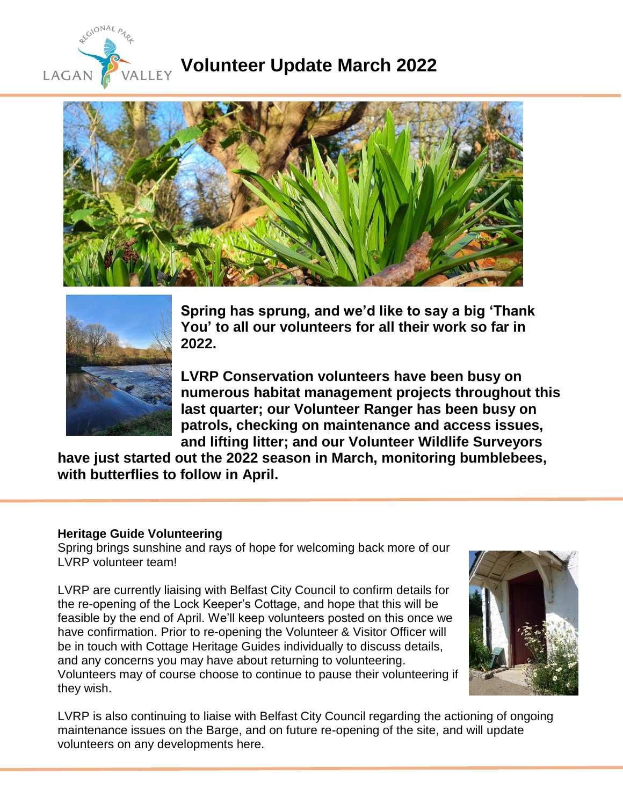

# **Volunteer Update March 2022**





**Spring has sprung, and we'd like to say a big 'Thank You' to all our volunteers for all their work so far in 2022.**

**LVRP Conservation volunteers have been busy on numerous habitat management projects throughout this last quarter; our Volunteer Ranger has been busy on patrols, checking on maintenance and access issues, and lifting litter; and our Volunteer Wildlife Surveyors** 

**have just started out the 2022 season in March, monitoring bumblebees, with butterflies to follow in April.**

#### **Heritage Guide Volunteering**

Spring brings sunshine and rays of hope for welcoming back more of our LVRP volunteer team!

LVRP are currently liaising with Belfast City Council to confirm details for the re-opening of the Lock Keeper's Cottage, and hope that this will be feasible by the end of April. We'll keep volunteers posted on this once we have confirmation. Prior to re-opening the Volunteer & Visitor Officer will be in touch with Cottage Heritage Guides individually to discuss details, and any concerns you may have about returning to volunteering. Volunteers may of course choose to continue to pause their volunteering if they wish.



LVRP is also continuing to liaise with Belfast City Council regarding the actioning of ongoing maintenance issues on the Barge, and on future re-opening of the site, and will update volunteers on any developments here.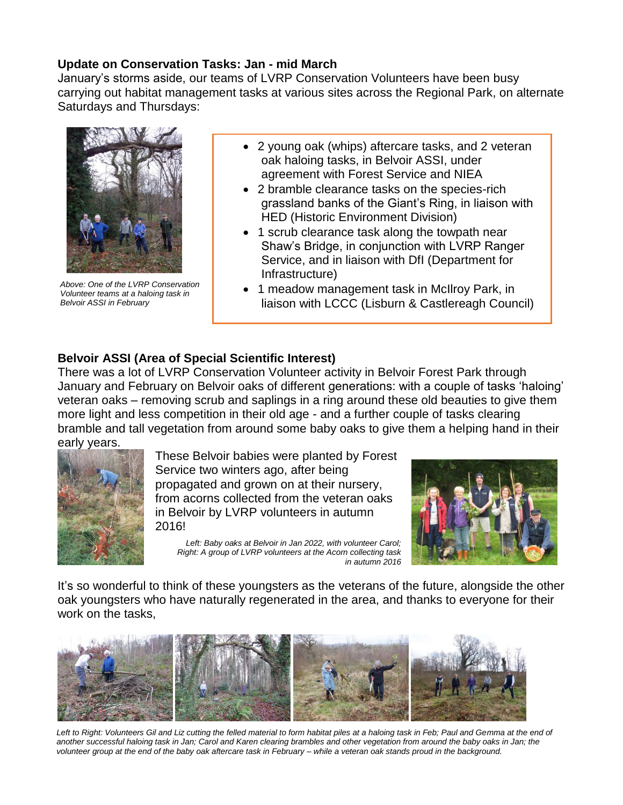## **Update on Conservation Tasks: Jan - mid March**

January's storms aside, our teams of LVRP Conservation Volunteers have been busy carrying out habitat management tasks at various sites across the Regional Park, on alternate Saturdays and Thursdays:



 *Above: One of the LVRP Conservation Volunteer teams at a haloing task in Belvoir ASSI in February*

- 2 young oak (whips) aftercare tasks, and 2 veteran oak haloing tasks, in Belvoir ASSI, under agreement with Forest Service and NIEA
- 2 bramble clearance tasks on the species-rich grassland banks of the Giant's Ring, in liaison with HED (Historic Environment Division)
- 1 scrub clearance task along the towpath near Shaw's Bridge, in conjunction with LVRP Ranger Service, and in liaison with DfI (Department for Infrastructure)
- 1 meadow management task in McIlroy Park, in liaison with LCCC (Lisburn & Castlereagh Council)

# **Belvoir ASSI (Area of Special Scientific Interest)**

There was a lot of LVRP Conservation Volunteer activity in Belvoir Forest Park through January and February on Belvoir oaks of different generations: with a couple of tasks 'haloing' veteran oaks – removing scrub and saplings in a ring around these old beauties to give them more light and less competition in their old age - and a further couple of tasks clearing bramble and tall vegetation from around some baby oaks to give them a helping hand in their early years.



These Belvoir babies were planted by Forest Service two winters ago, after being propagated and grown on at their nursery, from acorns collected from the veteran oaks in Belvoir by LVRP volunteers in autumn 2016!

*Left: Baby oaks at Belvoir in Jan 2022, with volunteer Carol; Right: A group of LVRP volunteers at the Acorn collecting task in autumn 2016* 



It's so wonderful to think of these youngsters as the veterans of the future, alongside the other oak youngsters who have naturally regenerated in the area, and thanks to everyone for their work on the tasks,



Left to Right: Volunteers Gil and Liz cutting the felled material to form habitat piles at a haloing task in Feb; Paul and Gemma at the end of *another successful haloing task in Jan; Carol and Karen clearing brambles and other vegetation from around the baby oaks in Jan; the volunteer group at the end of the baby oak aftercare task in February – while a veteran oak stands proud in the background.*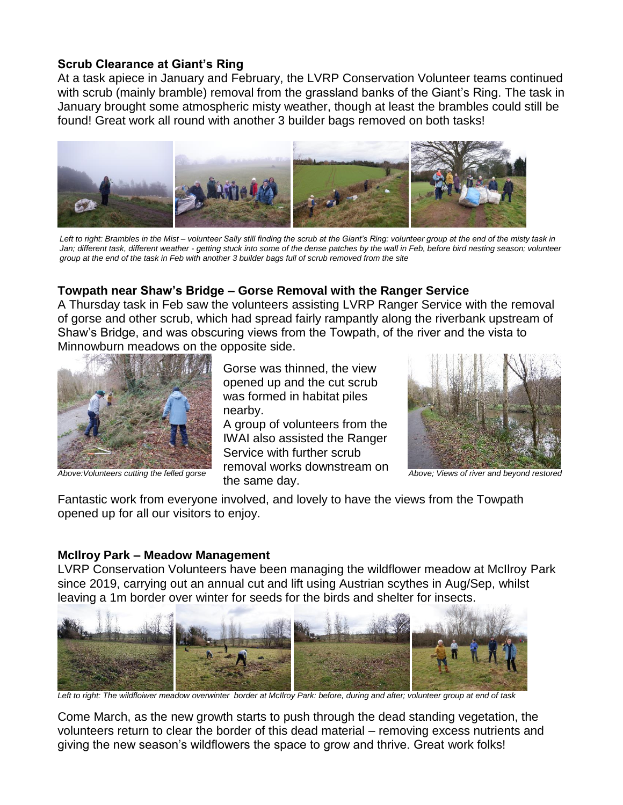#### **Scrub Clearance at Giant's Ring**

At a task apiece in January and February, the LVRP Conservation Volunteer teams continued with scrub (mainly bramble) removal from the grassland banks of the Giant's Ring. The task in January brought some atmospheric misty weather, though at least the brambles could still be found! Great work all round with another 3 builder bags removed on both tasks!



*Left to right: Brambles in the Mist – volunteer Sally still finding the scrub at the Giant's Ring: volunteer group at the end of the misty task in Jan; different task, different weather - getting stuck into some of the dense patches by the wall in Feb, before bird nesting season; volunteer group at the end of the task in Feb with another 3 builder bags full of scrub removed from the site*

# **Towpath near Shaw's Bridge – Gorse Removal with the Ranger Service**

A Thursday task in Feb saw the volunteers assisting LVRP Ranger Service with the removal of gorse and other scrub, which had spread fairly rampantly along the riverbank upstream of Shaw's Bridge, and was obscuring views from the Towpath, of the river and the vista to Minnowburn meadows on the opposite side.



Gorse was thinned, the view opened up and the cut scrub was formed in habitat piles nearby.

Above: Volunteers cutting the felled gorse *Above: Views of riversed beyond restored* A group of volunteers from the IWAI also assisted the Ranger Service with further scrub removal works downstream on the same day.



Fantastic work from everyone involved, and lovely to have the views from the Towpath opened up for all our visitors to enjoy.

#### **McIlroy Park – Meadow Management**

LVRP Conservation Volunteers have been managing the wildflower meadow at McIlroy Park since 2019, carrying out an annual cut and lift using Austrian scythes in Aug/Sep, whilst leaving a 1m border over winter for seeds for the birds and shelter for insects.



*Left to right: The wildfloiwer meadow overwinter border at McIlroy Park: before, during and after; volunteer group at end of task*

Come March, as the new growth starts to push through the dead standing vegetation, the volunteers return to clear the border of this dead material – removing excess nutrients and giving the new season's wildflowers the space to grow and thrive. Great work folks!